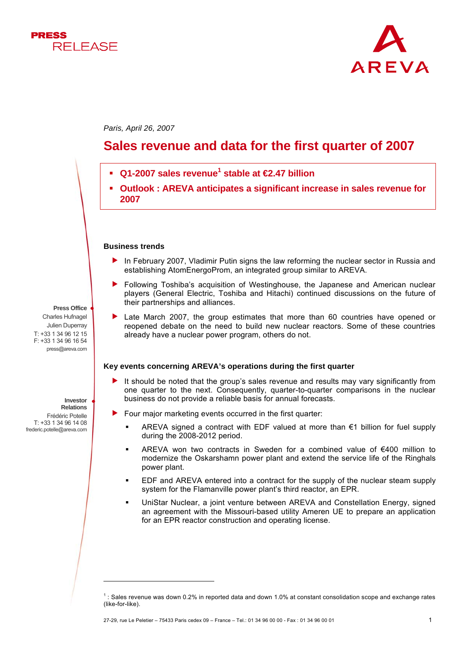



*Paris, April 26, 2007* 

# **Sales revenue and data for the first quarter of 2007**

- Q1-2007 sales revenue<sup>1</sup> stable at **€2.47 billion**
- **Outlook : AREVA anticipates a significant increase in sales revenue for 2007**

#### **Business trends**

- In February 2007, Vladimir Putin signs the law reforming the nuclear sector in Russia and establishing AtomEnergoProm, an integrated group similar to AREVA.
- f Following Toshiba's acquisition of Westinghouse, the Japanese and American nuclear players (General Electric, Toshiba and Hitachi) continued discussions on the future of their partnerships and alliances.
- Late March 2007, the group estimates that more than 60 countries have opened or reopened debate on the need to build new nuclear reactors. Some of these countries already have a nuclear power program, others do not.

#### **Key events concerning AREVA's operations during the first quarter**

- $\blacktriangleright$  It should be noted that the group's sales revenue and results may vary significantly from one quarter to the next. Consequently, quarter-to-quarter comparisons in the nuclear business do not provide a reliable basis for annual forecasts.
	- Four major marketing events occurred in the first quarter:
		- AREVA signed a contract with EDF valued at more than  $\epsilon$ 1 billion for fuel supply during the 2008-2012 period.
		- AREVA won two contracts in Sweden for a combined value of €400 million to modernize the Oskarshamn power plant and extend the service life of the Ringhals power plant.
		- EDF and AREVA entered into a contract for the supply of the nuclear steam supply system for the Flamanville power plant's third reactor, an EPR.
		- UniStar Nuclear, a joint venture between AREVA and Constellation Energy, signed an agreement with the Missouri-based utility Ameren UE to prepare an application for an EPR reactor construction and operating license.

**Press Office** Charles Hufnagel Julien Duperray T: +33 1 34 96 12 15 F: +33 1 34 96 16 54 press@areva.com

> **Investor Relations**

> > l

Frédéric Potelle T: +33 1 34 96 14 08 frederic.potelle@areva.com

<sup>1</sup> : Sales revenue was down 0.2% in reported data and down 1.0% at constant consolidation scope and exchange rates (like-for-like).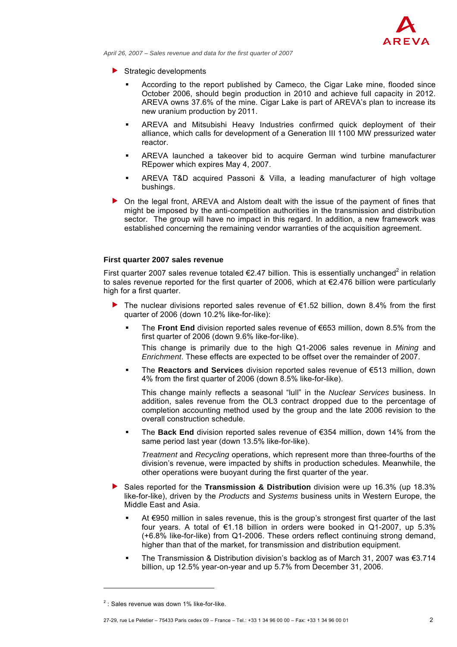

*April 26, 2007 – Sales revenue and data for the first quarter of 2007*

- $\blacktriangleright$  Strategic developments
	- According to the report published by Cameco, the Cigar Lake mine, flooded since October 2006, should begin production in 2010 and achieve full capacity in 2012. AREVA owns 37.6% of the mine. Cigar Lake is part of AREVA's plan to increase its new uranium production by 2011.
	- AREVA and Mitsubishi Heavy Industries confirmed quick deployment of their alliance, which calls for development of a Generation III 1100 MW pressurized water reactor.
	- AREVA launched a takeover bid to acquire German wind turbine manufacturer REpower which expires May 4, 2007.
	- AREVA T&D acquired Passoni & Villa, a leading manufacturer of high voltage bushings.
- $\triangleright$  On the legal front, AREVA and Alstom dealt with the issue of the payment of fines that might be imposed by the anti-competition authorities in the transmission and distribution sector. The group will have no impact in this regard. In addition, a new framework was established concerning the remaining vendor warranties of the acquisition agreement.

#### **First quarter 2007 sales revenue**

First quarter 2007 sales revenue totaled  $\epsilon$ 2.47 billion. This is essentially unchanged<sup>2</sup> in relation to sales revenue reported for the first quarter of 2006, which at €2.476 billion were particularly high for a first quarter.

- Fine nuclear divisions reported sales revenue of  $\epsilon$ 1.52 billion, down 8.4% from the first quarter of 2006 (down 10.2% like-for-like):
	- The **Front End** division reported sales revenue of €653 million, down 8.5% from the first quarter of 2006 (down 9.6% like-for-like).

This change is primarily due to the high Q1-2006 sales revenue in *Mining* and *Enrichment*. These effects are expected to be offset over the remainder of 2007.

 The **Reactors and Services** division reported sales revenue of €513 million, down 4% from the first quarter of 2006 (down 8.5% like-for-like).

This change mainly reflects a seasonal "lull" in the *Nuclear Services* business. In addition, sales revenue from the OL3 contract dropped due to the percentage of completion accounting method used by the group and the late 2006 revision to the overall construction schedule.

 The **Back End** division reported sales revenue of €354 million, down 14% from the same period last year (down 13.5% like-for-like).

*Treatment* and *Recycling* operations, which represent more than three-fourths of the division's revenue, were impacted by shifts in production schedules. Meanwhile, the other operations were buoyant during the first quarter of the year.

- f Sales reported for the **Transmission & Distribution** division were up 16.3% (up 18.3% like-for-like), driven by the *Products* and *Systems* business units in Western Europe, the Middle East and Asia.
	- At €950 million in sales revenue, this is the group's strongest first quarter of the last four years. A total of €1.18 billion in orders were booked in Q1-2007, up 5.3% (+6.8% like-for-like) from Q1-2006. These orders reflect continuing strong demand, higher than that of the market, for transmission and distribution equipment.
	- The Transmission & Distribution division's backlog as of March 31, 2007 was €3.714 billion, up 12.5% year-on-year and up 5.7% from December 31, 2006.

l

 $2$ : Sales revenue was down 1% like-for-like.